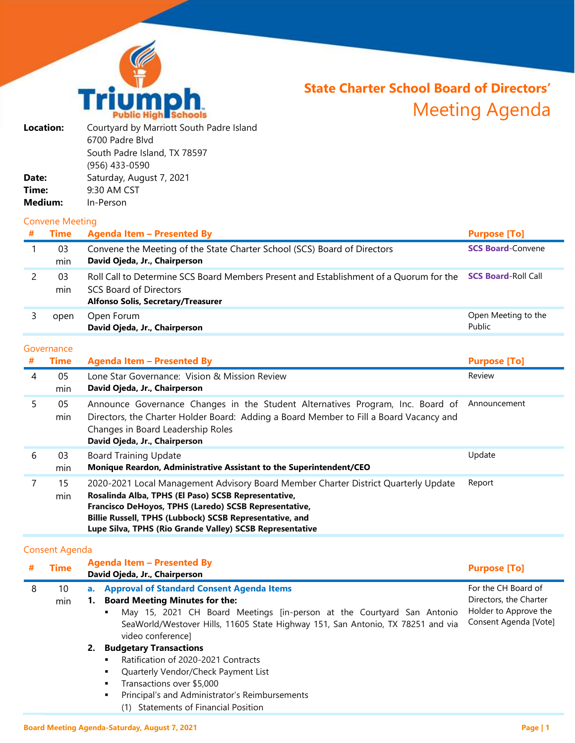

# **State Charter School Board of Directors'** Meeting Agenda

| <b>Location:</b> | Courtyard by Marriott South Padre Island |
|------------------|------------------------------------------|
|                  | 6700 Padre Blvd                          |
|                  | South Padre Island, TX 78597             |
|                  | (956) 433-0590                           |
| Date:            | Saturday, August 7, 2021                 |
| Time:            | 9:30 AM CST                              |
| <b>Medium:</b>   | In-Person                                |
|                  |                                          |

### Convene Meeting

| # | Time      | <b>Agenda Item - Presented By</b>                                                                                                                             | <b>Purpose [To]</b>           |
|---|-----------|---------------------------------------------------------------------------------------------------------------------------------------------------------------|-------------------------------|
|   | 03<br>min | Convene the Meeting of the State Charter School (SCS) Board of Directors<br>David Ojeda, Jr., Chairperson                                                     | <b>SCS Board-Convene</b>      |
|   | 03<br>min | Roll Call to Determine SCS Board Members Present and Establishment of a Quorum for the<br>SCS Board of Directors<br><b>Alfonso Solis, Secretary/Treasurer</b> | <b>SCS Board-Roll Call</b>    |
|   | open      | Open Forum<br>David Ojeda, Jr., Chairperson                                                                                                                   | Open Meeting to the<br>Public |

## Governance

| # | <b>Time</b> | <b>Agenda Item - Presented By</b>                                                                                                                                                                                                                                                                                         | <b>Purpose [To]</b> |
|---|-------------|---------------------------------------------------------------------------------------------------------------------------------------------------------------------------------------------------------------------------------------------------------------------------------------------------------------------------|---------------------|
| 4 | 05<br>min   | Lone Star Governance: Vision & Mission Review<br>David Ojeda, Jr., Chairperson                                                                                                                                                                                                                                            | Review              |
| 5 | 05<br>min   | Announce Governance Changes in the Student Alternatives Program, Inc. Board of<br>Directors, the Charter Holder Board: Adding a Board Member to Fill a Board Vacancy and<br>Changes in Board Leadership Roles<br>David Ojeda, Jr., Chairperson                                                                            | Announcement        |
| 6 | 03<br>min   | <b>Board Training Update</b><br>Monique Reardon, Administrative Assistant to the Superintendent/CEO                                                                                                                                                                                                                       | Update              |
|   | 15<br>min   | 2020-2021 Local Management Advisory Board Member Charter District Quarterly Update<br>Rosalinda Alba, TPHS (El Paso) SCSB Representative,<br>Francisco DeHoyos, TPHS (Laredo) SCSB Representative,<br>Billie Russell, TPHS (Lubbock) SCSB Representative, and<br>Lupe Silva, TPHS (Rio Grande Valley) SCSB Representative | Report              |

# Consent Agenda

|   | <b>Time</b> |    | <b>Agenda Item - Presented By</b><br>David Ojeda, Jr., Chairperson                                   | <b>Purpose [To]</b>    |
|---|-------------|----|------------------------------------------------------------------------------------------------------|------------------------|
| 8 | 10          |    | a. Approval of Standard Consent Agenda Items                                                         | For the CH Board of    |
|   | min         |    | 1. Board Meeting Minutes for the:                                                                    | Directors, the Charter |
|   |             |    | May 15, 2021 CH Board Meetings [in-person at the Courtyard San Antonio<br>٠                          | Holder to Approve the  |
|   |             |    | SeaWorld/Westover Hills, 11605 State Highway 151, San Antonio, TX 78251 and via<br>video conference] | Consent Agenda [Vote]  |
|   |             | 2. | <b>Budgetary Transactions</b>                                                                        |                        |
|   |             |    | Ratification of 2020-2021 Contracts<br>٠                                                             |                        |
|   |             |    | Quarterly Vendor/Check Payment List<br>٠                                                             |                        |
|   |             |    | Transactions over \$5,000<br>٠                                                                       |                        |
|   |             |    | Principal's and Administrator's Reimbursements<br>٠                                                  |                        |

(1) Statements of Financial Position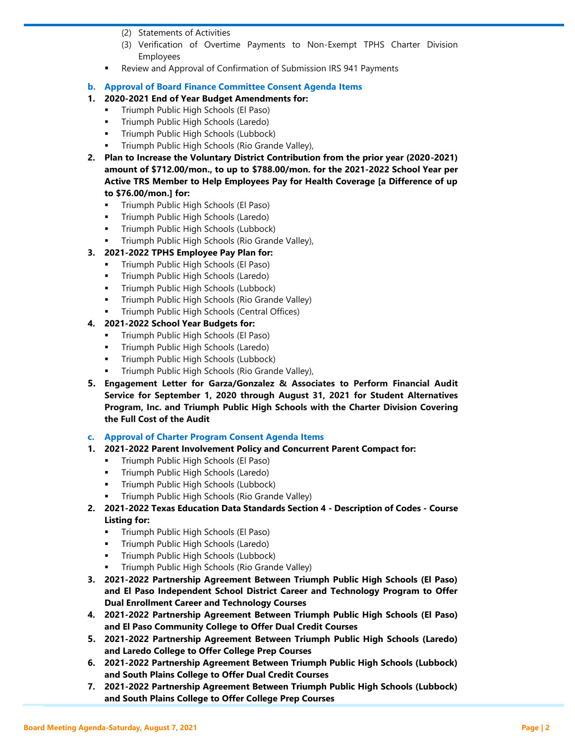- (2) Statements of Activities
- (3) Verification of Overtime Payments to Non-Exempt TPHS Charter Division Employees
- Review and Approval of Confirmation of Submission IRS 941 Payments
- **b. Approval of Board Finance Committee Consent Agenda Items**
- **1. 2020-2021 End of Year Budget Amendments for:**
	- Triumph Public High Schools (El Paso)
	- Triumph Public High Schools (Laredo)
	- Triumph Public High Schools (Lubbock)
	- Triumph Public High Schools (Rio Grande Valley),
- **2. Plan to Increase the Voluntary District Contribution from the prior year (2020-2021) amount of \$712.00/mon., to up to \$788.00/mon. for the 2021-2022 School Year per Active TRS Member to Help Employees Pay for Health Coverage [a Difference of up to \$76.00/mon.] for:**
	- **Triumph Public High Schools (El Paso)**
	- **Triumph Public High Schools (Laredo)**
	- Triumph Public High Schools (Lubbock)
	- Triumph Public High Schools (Rio Grande Valley),
- **3. 2021-2022 TPHS Employee Pay Plan for:**
	- Triumph Public High Schools (El Paso)
	- Triumph Public High Schools (Laredo)
	- Triumph Public High Schools (Lubbock)
	- Triumph Public High Schools (Rio Grande Valley)
	- Triumph Public High Schools (Central Offices)

## **4. 2021-2022 School Year Budgets for:**

- Triumph Public High Schools (El Paso)
- Triumph Public High Schools (Laredo)
- Triumph Public High Schools (Lubbock)
- Triumph Public High Schools (Rio Grande Valley),
- **5. Engagement Letter for Garza/Gonzalez & Associates to Perform Financial Audit Service for September 1, 2020 through August 31, 2021 for Student Alternatives Program, Inc. and Triumph Public High Schools with the Charter Division Covering the Full Cost of the Audit**

### **c. Approval of Charter Program Consent Agenda Items**

- **1. 2021-2022 Parent Involvement Policy and Concurrent Parent Compact for:**
	- Triumph Public High Schools (El Paso)
	- **Triumph Public High Schools (Laredo)**
	- Triumph Public High Schools (Lubbock)
	- Triumph Public High Schools (Rio Grande Valley)
- **2. 2021-2022 Texas Education Data Standards Section 4 - Description of Codes - Course Listing for:**
	- **Triumph Public High Schools (El Paso)**
	- Triumph Public High Schools (Laredo)
	- Triumph Public High Schools (Lubbock)
	- Triumph Public High Schools (Rio Grande Valley)
- **3. 2021-2022 Partnership Agreement Between Triumph Public High Schools (El Paso) and El Paso Independent School District Career and Technology Program to Offer Dual Enrollment Career and Technology Courses**
- **4. 2021-2022 Partnership Agreement Between Triumph Public High Schools (El Paso) and El Paso Community College to Offer Dual Credit Courses**
- **5. 2021-2022 Partnership Agreement Between Triumph Public High Schools (Laredo) and Laredo College to Offer College Prep Courses**
- **6. 2021-2022 Partnership Agreement Between Triumph Public High Schools (Lubbock) and South Plains College to Offer Dual Credit Courses**
- **7. 2021-2022 Partnership Agreement Between Triumph Public High Schools (Lubbock) and South Plains College to Offer College Prep Courses**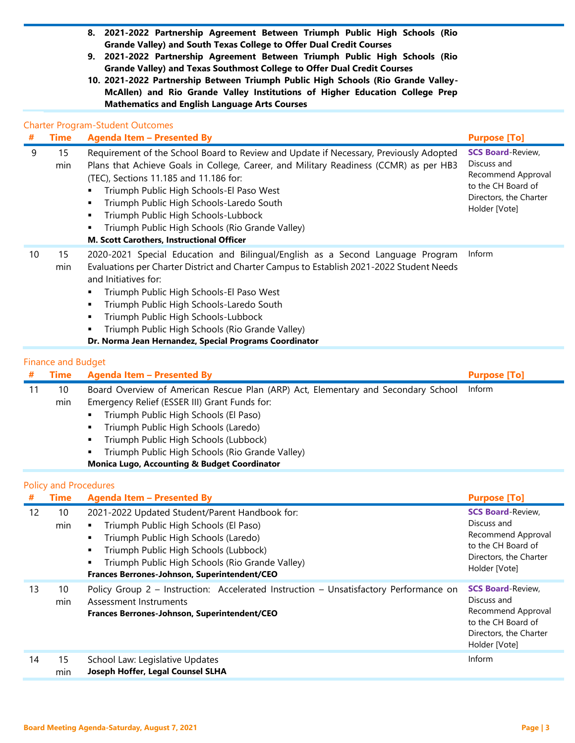- **8. 2021-2022 Partnership Agreement Between Triumph Public High Schools (Rio Grande Valley) and South Texas College to Offer Dual Credit Courses**
- **9. 2021-2022 Partnership Agreement Between Triumph Public High Schools (Rio Grande Valley) and Texas Southmost College to Offer Dual Credit Courses**
- **10. 2021-2022 Partnership Between Triumph Public High Schools (Rio Grande Valley-McAllen) and Rio Grande Valley Institutions of Higher Education College Prep Mathematics and English Language Arts Courses**

## Charter Program-Student Outcomes

| #  | <b>Time</b>                  | <b>Agenda Item - Presented By</b>                                                                                                                                                                                                                                                                                                                                                                                                                                          | <b>Purpose [To]</b>                                                                                                            |
|----|------------------------------|----------------------------------------------------------------------------------------------------------------------------------------------------------------------------------------------------------------------------------------------------------------------------------------------------------------------------------------------------------------------------------------------------------------------------------------------------------------------------|--------------------------------------------------------------------------------------------------------------------------------|
| 9  | 15<br>min                    | Requirement of the School Board to Review and Update if Necessary, Previously Adopted<br>Plans that Achieve Goals in College, Career, and Military Readiness (CCMR) as per HB3<br>(TEC), Sections 11.185 and 11.186 for:<br>Triumph Public High Schools-El Paso West<br>Triumph Public High Schools-Laredo South<br>٠<br>Triumph Public High Schools-Lubbock<br>٠<br>Triumph Public High Schools (Rio Grande Valley)<br>٠<br>M. Scott Carothers, Instructional Officer     | <b>SCS Board-Review,</b><br>Discuss and<br>Recommend Approval<br>to the CH Board of<br>Directors, the Charter<br>Holder [Vote] |
| 10 | 15<br>min                    | 2020-2021 Special Education and Bilingual/English as a Second Language Program<br>Evaluations per Charter District and Charter Campus to Establish 2021-2022 Student Needs<br>and Initiatives for:<br>Triumph Public High Schools-El Paso West<br>٠<br>Triumph Public High Schools-Laredo South<br>$\blacksquare$<br>Triumph Public High Schools-Lubbock<br>٠<br>Triumph Public High Schools (Rio Grande Valley)<br>Dr. Norma Jean Hernandez, Special Programs Coordinator | Inform                                                                                                                         |
|    | <b>Finance and Budget</b>    |                                                                                                                                                                                                                                                                                                                                                                                                                                                                            |                                                                                                                                |
| #  | <b>Time</b>                  | <b>Agenda Item - Presented By</b>                                                                                                                                                                                                                                                                                                                                                                                                                                          | <b>Purpose [To]</b>                                                                                                            |
| 11 | 10<br>min                    | Board Overview of American Rescue Plan (ARP) Act, Elementary and Secondary School<br>Emergency Relief (ESSER III) Grant Funds for:<br>Triumph Public High Schools (El Paso)<br>٠<br>Triumph Public High Schools (Laredo)<br>$\blacksquare$<br>Triumph Public High Schools (Lubbock)<br>$\blacksquare$<br>Triumph Public High Schools (Rio Grande Valley)<br><b>Monica Lugo, Accounting &amp; Budget Coordinator</b>                                                        | Inform                                                                                                                         |
|    | <b>Policy and Procedures</b> |                                                                                                                                                                                                                                                                                                                                                                                                                                                                            |                                                                                                                                |
| #  | <b>Time</b>                  | <b>Agenda Item - Presented By</b>                                                                                                                                                                                                                                                                                                                                                                                                                                          | <b>Purpose [To]</b>                                                                                                            |
| 12 | 10<br>min                    | 2021-2022 Updated Student/Parent Handbook for:<br>Triumph Public High Schools (El Paso)<br>$\blacksquare$<br>Triumph Public High Schools (Laredo)<br>٠<br>Triumph Public High Schools (Lubbock)<br>$\blacksquare$<br>Triumph Public High Schools (Rio Grande Valley)<br>٠<br>Frances Berrones-Johnson, Superintendent/CEO                                                                                                                                                  | <b>SCS Board-Review,</b><br>Discuss and<br>Recommend Approval<br>to the CH Board of<br>Directors, the Charter<br>Holder [Vote] |
| 13 | 10<br>min                    | Policy Group 2 - Instruction: Accelerated Instruction - Unsatisfactory Performance on<br>Assessment Instruments<br><b>Frances Berrones-Johnson, Superintendent/CEO</b>                                                                                                                                                                                                                                                                                                     | <b>SCS Board-Review,</b><br>Discuss and<br>Recommend Approval                                                                  |

| 14 | 15  | School Law: Legislative Updates   |
|----|-----|-----------------------------------|
|    | min | Joseph Hoffer, Legal Counsel SLHA |

to the CH Board of Directors, the Charter Holder [Vote]

Inform